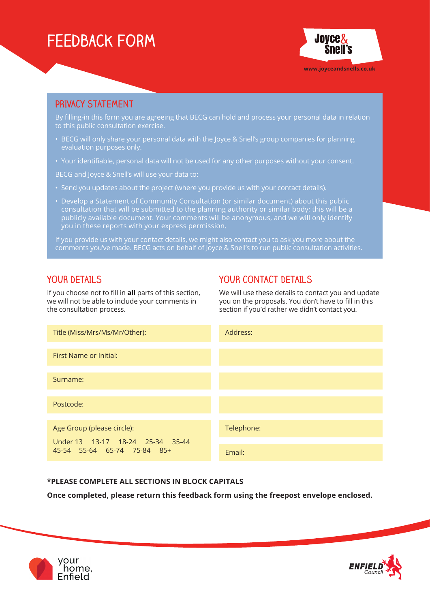# **Feedback Form**



## **PRIVACY STATEMENT**

By filling-in this form you are agreeing that BECG can hold and process your personal data in relation to this public consultation exercise.

- BECG will only share your personal data with the Joyce & Snell's group companies for planning evaluation purposes only.
- Your identifiable, personal data will not be used for any other purposes without your consent.

BECG and Joyce & Snell's will use your data to:

- Send you updates about the project (where you provide us with your contact details).
- Develop a Statement of Community Consultation (or similar document) about this public consultation that will be submitted to the planning authority or similar body; this will be a publicly available document. Your comments will be anonymous, and we will only identify you in these reports with your express permission.

If you provide us with your contact details, we might also contact you to ask you more about the comments you've made. BECG acts on behalf of Joyce & Snell's to run public consultation activities.

### **YOUR DETAILS**

If you choose not to fill in **all** parts of this section, we will not be able to include your comments in the consultation process.

# **YOUR CONTACT DETAILS**

We will use these details to contact you and update you on the proposals. You don't have to fill in this section if you'd rather we didn't contact you.



#### **\*PLEASE COMPLETE ALL SECTIONS IN BLOCK CAPITALS**

**Once completed, please return this feedback form using the freepost envelope enclosed.**